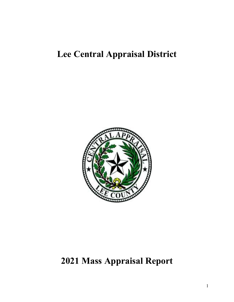# **Lee Central Appraisal District**



# **2021 Mass Appraisal Report**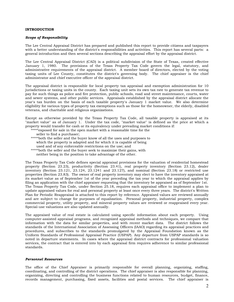# **INTRODUCTION**

#### *Scope of Responsibility*

The Lee Central Appraisal District has prepared and published this report to provide citizens and taxpayers with a better understanding of the district's responsibilities and activities. This report has several parts: a general introduction and then several sections describing the appraisal effort by the appraisal district.

The Lee Central Appraisal District (CAD) is a political subdivision of the State of Texas, created effective January 1, 1980. The provisions of the Texas Property Tax Code govern the legal, statutory, and administrative requirements of the appraisal district. A member board of directors, elected by the voting taxing units of Lee County, constitutes the district's governing body. The chief appraiser is the chief administrator and chief executive officer of the appraisal district.

The appraisal district is responsible for local property tax appraisal and exemption administration for 10 jurisdictions or taxing units in the county. Each taxing unit sets its own tax rate to generate tax revenue to pay for such things as police and fire protection, public schools, road and street maintenance, courts, water and sewer systems, and other public services. Appraisals established by the appraisal district allocate the year's tax burden on the basis of each taxable property's January 1 market value. We also determine eligibility for various types of property tax exemptions such as those for the homeowner, the elderly, disabled veterans, and charitable and religious organizations.

Except as otherwise provided by the Texas Property Tax Code, all taxable property is appraised at its "market value" as of January 1. Under the tax code, "market value" is defined as the price at which a property would transfer for cash or its equivalency under prevailing market conditions if:

- \*\*\*\*\*exposed for sale in the open market with a reasonable time for the
- seller to find a purchaser;
- \*\*\*\*\*both the seller and the buyer know of all the uses and purposes to which the property is adapted and for which it is capable of being used and of any enforceable restrictions on the use; and
- \*\*\*\*\*both the seller and the buyer seek to maximize their gains, with neither being in the position to take advantage of the other.

The Texas Property Tax Code defines special appraisal provisions for the valuation of residential homestead property (Section 23.23), productivity (Section 23.41), real property inventory (Section 23.12), dealer inventory (Section 23.121, 23.124, 23.1241 and 23.127), and nominal (Section 23.18) or restricted use properties (Section 23.83). The owner of real property inventory may elect to have the inventory appraised at its market value as of September 1st of the year preceding the tax year to which the appraisal applies by filing an application with the chief appraiser requesting that the inventory be appraised as of September 1st. The Texas Property Tax Code, under Section 25.18, requires each appraisal office to implement a plan to update appraised values for real and personal property at least once every three years. The district's Written Plan for Periodic Reappraisal is attached to this report by reference. Appraised values are reviewed annually and are subject to change for purposes of equalization. Personal property, industrial property, complex commercial property, utility property, and mineral property values are reviewed or reappraised every year. Special-use valuations are also updated annually.

The appraised value of real estate is calculated using specific information about each property. Using computer-assisted appraisal programs, and recognized appraisal methods and techniques, we compare that information with the data for similar properties, and with recent market data. The district follows the standards of the International Association of Assessing Officers (IAAO) regarding its appraisal practices and procedures, and subscribes to the standards promulgated by the Appraisal Foundation known as the Uniform Standards of Professional Appraisal Practice (USPAP). Any departure from USPAP standards is so noted in departure statements. In cases where the appraisal district contracts for professional valuation services, the contract that is entered into by each appraisal firm requires adherence to similar professional standards.

#### *Personnel Resources*

The office of the Chief Appraiser is primarily responsible for overall planning, organizing, staffing, coordinating, and controlling of the district operations. The chief appraiser is also responsible for planning, organizing, directing and controlling the business functions related to human resources, budget, finance, records management, purchasing, fixed assets, facilities and postal services. The chief appraiser is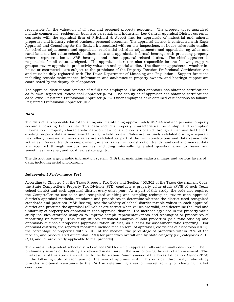responsible for the valuation of all real and personal property accounts. The property types appraised include commercial, residential, business personal, and industrial. Lee Central Appraisal District currently contracts with the appraisal firm of Pritchard & Abbott Inc. for appraisals of industrial and mineral properties and industry-related business personal accounts. The appraisal district is contracted with Eagle Appraisal and Consulting for the fieldwork associated with on-site inspections, in-house sales ratio studies for schedule adjustments and appraisals, residential schedule adjustments and appraisals, ag-value and rural land market value schedule adjustments and appraisals, informal hearings with protesting property owners, representation at ARB hearings, and other appraisal related duties. The chief appraiser is responsible for all values assigned. The appraisal district is also responsible for the following support groups: review appraisals, productivity valuation and special audits. The district's appraisers - whether inhouse or contracted - are subject to the provisions of the Property Taxation Professional Certification Act and must be duly registered with The Texas Department of Licensing and Regulation. Support functions including records maintenance, information and assistance to property owners, and hearings support are coordinated by the deputy chief appraiser.

The appraisal district staff consists of 8 full time employees. The chief appraiser has obtained certifications as follows: Registered Professional Appraiser (RPA). The deputy chief appraiser has obtained certifications as follows: Registered Professional Appraiser (RPA). Other employees have obtained certifications as follows: Registered Professional Appraiser (RPA).

# *Data*

The district is responsible for establishing and maintaining approximately 45,944 real and personal property accounts covering Lee County. This data includes property characteristics, ownership, and exemption information. Property characteristic data on new construction is updated through an annual field effort; existing property data is maintained through a field review. Sales are routinely validated during a separate field effort; however, numerous sales are validated as part of the new construction and data review field activities. General trends in employment, interest rates, new construction trends, and cost and market data are acquired through various sources, including internally generated questionnaires to buyer and sometimes the seller, and local real estate agents.

The district has a geographic information system (GIS) that maintains cadastral maps and various layers of data, including aerial photography.

# *Independent Performance Test*

According to Chapter 5 of the Texas Property Tax Code and Section 403.302 of the Texas Government Code, the State Comptroller's Property Tax Division (PTD) conducts a property value study (PVS) of each Texas school district and each appraisal district every other year. As a part of this study, the code also requires the Comptroller to: use sales and recognized auditing and sampling techniques, review each appraisal district's appraisal methods, standards and procedures to determine whether the district used recognized standards and practices (MSP Review), test the validity of school district taxable values in each appraisal district and presume the appraisal roll values are correct when values are valid, and determine the level and uniformity of property tax appraisal in each appraisal district. The methodology used in the property value study includes stratified samples to improve sample representativeness and techniques or procedures of measuring uniformity. This study utilizes statistical analysis of sold properties (sale ratio studies) and appraisals of unsold properties (appraisal ration studies) as a basis for assessment ratio reporting. For appraisal districts, the reported measures include median level of appraisal, coefficient of dispersion (COD), the percentage of properties within 10% of the median, the percentage of properties within 25% of the median, and price-related differential (PRD) for properties overall and by state category (i.e., categories A, B, C, D, and F1 are directly applicable to real property).

There are 4 independent school districts in Lee CAD for which appraisal rolls are annually developed. The preliminary results of this study are released in January in the year following the year of appraisement. The final results of this study are certified to the Education Commissioner of the Texas Education Agency (TEA) in the following July of each year for the year of appraisement. This outside (third party) ratio study provides additional assistance to the CAD in determining areas of market activity or changing market conditions.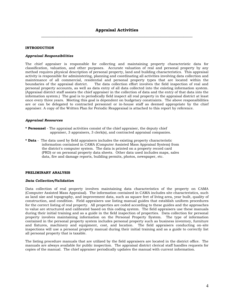# **INTRODUCTION**

#### *Appraisal Responsibilities*

The chief appraiser is responsible for collecting and maintaining property characteristic data for classification, valuation, and other purposes. Accurate valuation of real and personal property by any method requires physical description of personal property, land and building characteristics. This appraisal activity is responsible for administering, planning and coordinating all activities involving data collection and maintenance of all commercial, residential and personal property types that are located within the boundaries of the appraisal district. The data collection effort involves the field inspection of real and The data collection effort involves the field inspection of real and personal property accounts, as well as data entry of all data collected into the existing information system. (Appraisal district staff assists the chief appraiser in the collection of data and the entry of that data into the information system.) The goal is to periodically field inspect all real property in the appraisal district at least once every three years. Meeting this goal is dependent on budgetary constraints. The above responsibilities are or can be delegated to contracted personnel or in-house staff as deemed appropriate by the chief appraiser. A copy of the Written Plan for Periodic Reappraisal is attached to this report by reference.

## *Appraisal Resources*

- **\* Personnel** The appraisal activities consist of the chief appraiser, the deputy chief appraiser, 3 appraisers, 3 clerk(s), and contracted appraisal companies.
- **\* Data** The data used by field appraisers includes the existing property characteristic information contained in CAMA (Computer Assisted Mass Appraisal System) from the district's computer system. The data is printed on a property record card (PRD) or on personal property data sheets. Other data used includes maps, sales data, fire and damage reports, building permits, photos, newspaper, etc.

#### **PRELIMINARY ANALYSIS**

#### *Data Collection/Validation*

Data collection of real property involves maintaining data characteristics of the property on CAMA (Computer Assisted Mass Appraisal). The information contained in CAMA includes site characteristics, such as land size and topography, and improvement data, such as square feet of living area, year built, quality of construction, and condition. Field appraisers use listing manual guides that establish uniform procedures for the correct listing of real property. All properties are coded according to these guides and the approaches to value are structured and calibrated based on this coding system. The field appraisers use these manuals during their initial training and as a guide in the field inspection of properties. Data collection for personal property involves maintaining information on the Personal Property System. The type of information contained in the personal property system includes personal property such as business inventory, furniture and fixtures, machinery and equipment, cost, and location. The field appraisers conducting on-site inspections will use a personal property manual during their initial training and as a guide to correctly list all personal property that is taxable.

The listing procedure manuals that are utilized by the field appraisers are located in the district office. The manuals are always available for public inspection. The appraisal district clerical staff handles requests for copies of the manual. The chief appraiser periodically updates the manual with current information.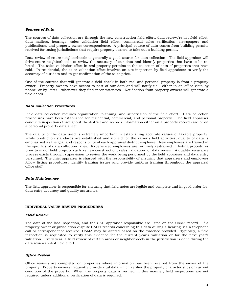#### *Sources of Data*

The sources of data collection are through the new construction field effort, data review/re-list field effort, data mailers, hearings, sales validation field effort, commercial sales verification, newspapers and publications, and property owner correspondence. A principal source of data comes from building permits received for taxing jurisdictions that require property owners to take out a building permit.

Data review of entire neighborhoods is generally a good source for data collection. The field appraiser will drive entire neighborhoods to review the accuracy of our data and identify properties that have to be relisted. The sales validation effort in real property pertains to the collection of data of properties that have sold. In residential, the sales validation effort involves on-site inspection by field appraisers to verify the accuracy of our data and to get confirmation of the sales price.

One of the sources that will generate a field check in both real and personal property is from a property owner. Property owners have access to part of our data and will notify us - either in an office visit, by phone, or by letter - whenever they find inconsistencies. Notification from property owners will generate a field check.

# *Data Collection Procedures*

Field data collection requires organization, planning, and supervision of the field effort. Data collection procedures have been established for residential, commercial, and personal property. The field appraiser conducts inspections throughout the district and records information either on a property record card or on a personal property data sheet.

The quality of the data used is extremely important in establishing accurate values of taxable property. While production standards are established and upheld for the various field activities, quality of data is emphasized as the goal and responsibility of each appraisal district employee. New employees are trained in the specifics of data collection rules. Experienced employees are routinely re-trained in listing procedures prior to major field projects such as new construction, sales validation, or data review. A quality assurance process exists through supervision to review the work being performed by the field appraiser and data entry personnel. The chief appraiser is charged with the responsibility of ensuring that appraisers and employees follow listing procedures, identify training issues and provide uniform training throughout the appraisal office staff.

# *Data Maintenance*

The field appraiser is responsible for ensuring that field notes are legible and complete and in good order for data entry accuracy and quality assurance.

# **INDIVIDUAL VALUE REVIEW PROCEDURES**

#### *Field Review*

The date of the last inspection, and the CAD appraiser responsible are listed on the CAMA record. If a property owner or jurisdiction dispute CAD's records concerning this data during a hearing, via a telephone call or correspondence received, CAMA may be altered based on the evidence provided. Typically, a field inspection is requested to verify this evidence for the current year's valuation or for the next year's valuation. Every year, a field review of certain areas or neighborhoods in the jurisdiction is done during the data review/re-list field effort.

# *Office Review*

Office reviews are completed on properties where information has been received from the owner of the property. Property owners frequently provide vital data which verifies the property characteristics or current condition of the property. When the property data is verified in this manner, field inspections are not required unless additional verification of data is required.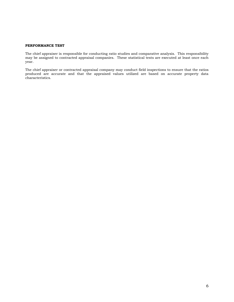## **PERFORMANCE TEST**

The chief appraiser is responsible for conducting ratio studies and comparative analysis. This responsibility may be assigned to contracted appraisal companies. These statistical tests are executed at least once each year.

The chief appraiser or contracted appraisal company may conduct field inspections to ensure that the ratios produced are accurate and that the appraised values utilized are based on accurate property data characteristics.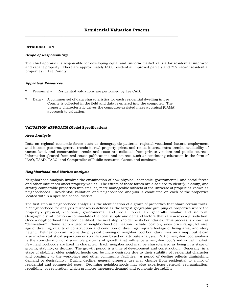\_\_\_\_\_\_\_\_\_\_\_\_\_\_\_\_\_\_\_\_\_\_\_\_\_\_\_\_\_\_\_\_\_\_\_\_\_\_\_\_\_\_\_\_\_\_\_\_\_\_\_\_\_\_\_\_\_\_\_\_\_\_\_\_\_\_\_\_\_\_\_\_\_\_\_\_\_\_\_\_

# **INTRODUCTION**

#### *Scope of Responsibility*

The chief appraiser is responsible for developing equal and uniform market values for residential improved and vacant property. There are approximately 6500 residential improved parcels and 752 vacant residential properties in Lee County.

#### *Appraisal Resources*

- Personnel Residential valuations are performed by Lee CAD.
- **\*** Data A common set of data characteristics for each residential dwelling in Lee County is collected in the field and data is entered into the computer. The property characteristic drives the computer-assisted mass appraisal (CAMA) approach to valuation.

#### **VALUATION APPROACH (Model Specification)**

#### *Area Analysis*

Data on regional economic forces such as demographic patterns, regional vocational factors, employment and income patterns, general trends in real property prices and rents, interest rates trends, availability of vacant land, and construction trends and costs are collected from private vendors and public sources. Information gleaned from real estate publications and sources such as continuing education in the form of IAAO, TAAD, TAAO, and Comptroller of Public Accounts classes and seminars.

# *Neighborhood and Market analysis*

Neighborhood analysis involves the examination of how physical, economic, governmental, and social forces and other influences affect property values. The effects of these forces are also used to identify, classify, and stratify comparable properties into smaller, more manageable subsets of the universe of properties known as neighborhoods. Residential valuation and neighborhood analysis is conducted on each of the properties located within a specified school district.

The first step in neighborhood analysis is the identification of a group of properties that share certain traits. A "neighborhood for analysis purposes is defined as the largest geographic grouping of properties where the property's physical, economic, governmental and social forces are generally similar and uniform. Geographic stratification accommodates the local supply and demand factors that vary across a jurisdiction. Once a neighborhood has been identified, the next step is to define its boundaries. This process is known as "delineation". Some factors used in neighborhood delineation include location, sales price range, lot size, age of dwelling, quality of construction and condition of dwellings, square footage of living area, and story height. Delineation can involve the physical drawing of neighborhood boundary lines on a map, but it can also involve statistical separation or stratification based on attribute analysis. Part of neighborhood analysis is the consideration of discernible patterns of growth that influence a neighborhood's individual market. Few neighborhoods are fixed in character. Each neighborhood may be characterized as being in a stage of growth, stability, or decline. The growth period is a time of development and construction. Generally, in a stage of stability, older neighborhoods can be more desirable due to their stability of residential character and proximity to the workplace and other community facilities. A period of decline reflects diminishing demand or desirability. During decline, general property use may change from residential to a mix of residential and commercial uses. Declining neighborhoods may also experience renewal, reorganization, rebuilding, or restoration, which promotes increased demand and economic desirability.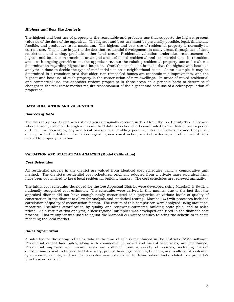#### *Highest and Best Use Analysis*

The highest and best use of property is the reasonable and probable use that supports the highest present value as of the date of the appraisal. The highest and best use must be physically possible, legal, financially feasible, and productive to its maximum. The highest and best use of residential property is normally its current use. This is due in part to the fact that residential development, in many areas, through use of deed restrictions and zoning, precludes other land uses. Residential valuation undertakes reassessment of highest and best use in transition areas and areas of mixed residential and commercial use. In transition areas with ongoing gentrification, the appraiser reviews the existing residential property use and makes a determination regarding highest and best use. Once the conclusion is made that the highest and best use analysis is done to decide the type of residential use on a neighborhood basis. As an example, it may be determined in a transition area that older, non-remodeled homes are economic mis-improvments, and the highest and best use of such property is the construction of new dwellings. In areas of mixed residential and commercial use, the appraiser reviews properties in these areas on a periodic basis to determine if changes in the real estate market require reassessment of the highest and best use of a select population of properties.

# **DATA COLLECTION AND VALIDATION**

#### *Sources of Data*

The district's property characteristic data was originally received in 1979 from the Lee County Tax Office and where absent, collected through a massive field data collection effort coordinated by the district over a period of time. Tax assessors, city and local newspapers, building permits, internet realty sites and the public often provide the district information regarding new construction, market patterns, and other useful facts related to property valuation.

# **VALUATION AND STATISTICAL ANALYSIS (Model Calibration)**

#### *Cost Schedules*

All residential parcels in the district are valued from identical cost schedules using a comparative unit method. The district's residential cost schedules, originally adopted from a private mass appraisal firm, have been customized to Lee's local residential building market. The cost schedules are reviewed annually.

The initial cost schedules developed for the Lee Appraisal District were developed using Marshall & Swift, a nationally recognized cost estimator. The schedules were derived in this manner due to the fact that the appraisal district did not have enough newly constructed sold properties at various levels of quality of construction in the district to allow for analysis and statistical testing. Marshall & Swift processes included correlation of quality of construction factors. The results of this comparison were analyzed using statistical measures, including stratification by quality and reviewing estimated building costs plus land to sales prices. As a result of this analysis, a new regional multiplier was developed and used in the district's cost process. This multiplier was used to adjust the Marshall & Swift schedules to bring the schedules to costs reflecting the local market.

#### *Sales Information*

A sales file for the storage of sales data at the time of sale is maintained in the Districts CAMA software. Residential vacant land sales, along with commercial improved and vacant land sales, are maintained. Residential improved and vacant sales are collected from a variety of sources, including district questionnaires sent to buyers, field discovery, protest hearings, vendors, builders, and realtors. A system of type, source, validity, and verification codes were established to define salient facts related to a property's purchase or transfer.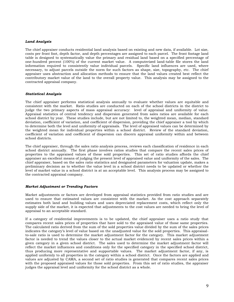# *Land Analysis*

The chief appraiser conducts residential land analysis based on existing and new data, if available. Lot size, costs per front foot, depth factor, and depth percentages are assigned to each parcel. The front footage land table is designed to systematically value the primary and residual land based on a specified percentage of one-hundred percent (100%) of the current market value. A computerized land-table file stores the land information required to consistently value individual parcels. Specific land influences are used, where necessary, to adjust parcels outside the norm for such factors as shape, size, topography, etc. The chief appraiser uses abstraction and allocation methods to ensure that the land values created best reflect the contributory market value of the land to the overall property value. This analysis may be assigned to the contracted appraisal company.

# *Statistical Analysis*

The chief appraiser performs statistical analysis annually to evaluate whether values are equitable and consistent with the market. Ratio studies are conducted on each of the school districts in the district to judge the two primary aspects of mass appraisal accuracy: level of appraisal and uniformity of value. Appraisal statistics of central tendency and dispersion generated from sales ratios are available for each school district by year. These studies include, but are not limited to, the weighted mean, median, standard deviation, coefficient of variation, and coefficient of dispersion, providing the chief appraiser a tool by which to determine both the level and uniformity of appraisals. The level of appraised values can be determined by the weighted mean for individual properties within a school district. Review of the standard deviation, coefficient of variation and coefficient of dispersion can discern appraisal uniformity within and between school districts.

The chief appraiser, through the sales ratio analysis process, reviews each classification of residence in each school district annually. The first phase involves ratios studies that compare the recent sales prices of properties to the appraised values of these sold properties. This set of ratio studies affords the chief appraiser an excellent means of judging the present level of appraised value and uniformity of the sales. The chief appraiser, based on the sales ratio statistics and designated parameters for valuation update, makes a preliminary decision as to whether the value level in a school district needs to be updated or whether the level of market value in a school district is at an acceptable level. This analysis process may be assigned to the contracted appraisal company.

# *Market Adjustment or Trending Factors*

Market adjustments or factors are developed from appraisal statistics provided from ratio studies and are used to ensure that estimated values are consistent with the market. As the cost approach separately estimates both land and building values and uses depreciated replacement costs, which reflect only the supply side of the market, it is expected that adjustments to the cost values are needed to bring the level of appraisal to an acceptable standard.

If a category of residential improvements is to be updated, the chief appraiser uses a ratio study that compares recent sales prices of properties that have sold to the appraised value of those same properties. The calculated ratio derived from the sum of the sold properties value divided by the sum of the sales prices indicates the category's level of value based on the unadjusted value for the sold properties. This appraisalto-sale ratio is used to determine the market adjustment factor for the category. This market adjustment factor is needed to trend the values closer to the actual market evidenced by recent sales prices within a given category in a given school district. The sales used to determine the market adjustment factor will reflect the market influences and conditions only for the specified category in the specified school district, thus producing more representative and supportable values. The market adjustment factor, if any, is applied uniformly to all properties in the category within a school district. Once the factors are applied and values are adjusted by CAMA, a second set of ratio studies is generated that compares recent sales prices with the proposed appraised values for those sold properties. From this set of ratio studies, the appraiser judges the appraisal level and uniformity for the school district as a whole.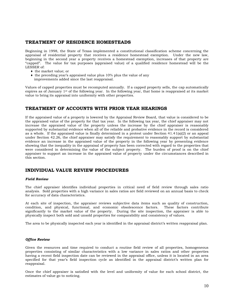# **TREATMENT OF RESIDENCE HOMESTEADS**

Beginning in 1998, the State of Texas implemented a constitutional classification scheme concerning the appraisal of residential property that receives a residence homestead exemption. Under the new law, beginning in the second year a property receives a homestead exemption, increases of that property are "capped". The value for tax purposes (appraised value) of a qualified residence homestead will be the LESSER of:

- ♦ the market value; or
- ♦ the preceding year's appraised value plus 10% plus the value of any improvements added since the last reappraisal.

Values of capped properties must be recomputed annually. If a capped property sells, the cap automatically expires as of January 1st of the following year. In the following year, that home is reappraised at its market value to bring its appraisal into uniformity with other properties.

# **TREATMENT OF ACCOUNTS WITH PRIOR YEAR HEARINGS**

If the appraised value of a property is lowered by the Appraisal Review Board, that value is considered to be the appraised value of the property for that tax year. In the following tax year, the chief appraiser may not increase the appraised value of the property unless the increase by the chief appraiser is reasonably supported by substantial evidence when all of the reliable and probative evidence in the record is considered as a whole. If the appraised value is finally determined in a protest under Section  $41.41(a)(2)$  or an appeal under Section 42.26, the chief appraiser may satisfy the requirement to reasonably support by substantial evidence an increase in the appraised value of the property in the following year by presenting evidence showing that the inequality in the appraisal of property has been corrected with regard to the properties that were considered in determining the value of the subject property. The burden of proof is on the chief appraiser to support an increase in the appraised value of property under the circumstances described in this section.

# **INDIVIDUAL VALUE REVIEW PROCEDURES**

# *Field Review*

The chief appraiser identifies individual properties in critical need of field review through sales ratio analysis. Sold properties with a high variance in sales ratios are field reviewed on an annual basis to check for accuracy of data characteristics.

At each site of inspection, the appraiser reviews subjective data items such as quality of construction, condition, and physical, functional, and economic obsolescence factors. These factors contribute condition, and physical, functional, and economic obsolescence factors. significantly to the market value of the property. During the site inspection, the appraiser is able to physically inspect both sold and unsold properties for comparability and consistency of values.

The area to be physically inspected each year is identified in the appraisal district's written reappraisal plan.

# *Office Review*

Given the resources and time required to conduct a routine field review of all properties, homogeneous properties consisting of similar characteristics with a low variance in sales ratios and other properties having a recent field inspection date can be reviewed in the appraisal office, unless it is located in an area specified for that year's field inspection cycle as identified in the appraisal district's written plan for reappraisal.

Once the chief appraiser is satisfied with the level and uniformity of value for each school district, the estimates of value go to noticing.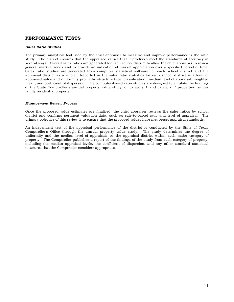# **PERFORMANCE TESTS**

## *Sales Ratio Studies*

The primary analytical tool used by the chief appraiser to measure and improve performance is the ratio study. The district ensures that the appraised values that it produces meet the standards of accuracy in several ways. Overall sales ratios are generated for each school district to allow the chief appraiser to review general market trends and to provide an indication of market appreciation over a specified period of time. Sales ratio studies are generated from computer statistical software for each school district and the appraisal district as a whole. Reported in the sales ratio statistics for each school district is a level of appraised value and uniformity profile by structure type (classification), median level of appraisal, weighted mean, and coefficient of dispersion. The computer-based ratio studies are designed to emulate the findings of the State Comptroller's annual property value study for category A and category E properties (singlefamily residential property).

#### *Management Review Process*

Once the proposed value estimates are finalized, the chief appraiser reviews the sales ratios by school district and confirms pertinent valuation data, such as sale-to-parcel ratio and level of appraisal. The primary objective of this review is to ensure that the proposed values have met preset appraisal standards.

An independent test of the appraisal performance of the district is conducted by the State of Texas Comptroller's Office through the annual property value study. The study determines the degree of uniformity and the median level of appraisals by the appraisal district within each major category of property. The Comptroller publishes a report of the findings of the study from each category of property, including the median appraisal levels, the coefficient of dispersion, and any other standard statistical measures that the Comptroller considers appropriate.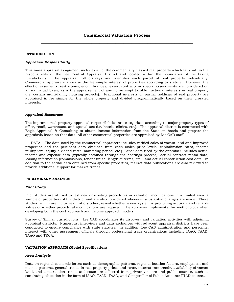# **INTRODUCTION**

#### *Appraisal Responsibility*

This mass appraisal assignment includes all of the commercially classed real property which falls within the responsibility of the Lee Central Appraisal District and located within the boundaries of the taxing jurisdictions. The appraisal roll displays and identifies each parcel of real property individually. Commercial appraisers appraise the fee simple interest of properties according to statute. However, the effect of easements, restrictions, encumbrances, leases, contracts or special assessments are considered on an individual basis, as is the appraisement of any non-exempt taxable fractional interests in real property (i.e. certain multi-family housing projects). Fractional interests or partial holdings of real property are appraised in fee simple for the whole property and divided programmatically based on their prorated interests.

#### *Appraisal Resources*

The improved real property appraisal responsibilities are categorized according to major property types of office, retail, warehouse, and special use (i.e. hotels, clinics, etc.). The appraisal district is contracted with Eagle Appraisal & Consulting to obtain income information from the State on hotels and prepare the appraisals based on that data. All other commercial properties are appraised by Lee CAD staff.

 DATA **–** The data used by the commercial appraisers includes verified sales of vacant land and improved properties and the pertinent data obtained from each (sales price levels, capitalization rates, income multipliers, equity dividend rates, marketing period, etc.). Other data used by the appraiser includes actual income and expense data (typically obtained through the hearings process), actual contract rental data, leasing information (commissions, tenant finish, length of terms, etc.), and actual construction cost data. In addition to the actual data obtained from specific properties, market data publications are also reviewed to provide additional support for market trends.

#### **PRELIMINARY ANALYSIS**

#### *Pilot Study*

Pilot studies are utilized to test new or existing procedures or valuation modifications in a limited area (a sample of properties) of the district and are also considered whenever substantial changes are made. These studies, which are inclusive of ratio studies, reveal whether a new system is producing accurate and reliable values or whether procedural modifications are required. The appraiser implements this methodology when developing both the cost approach and income approach models.

Survey of Similar Jurisdictions: Lee CAD coordinates its discovery and valuation activities with adjoining appraisal districts. Numerous, interviews and data exchanges with adjacent appraisal districts have been conducted to ensure compliance with state statutes. In addition, Lee CAD administration and personnel interact with other assessment officials through professional trade organizations including IAAO, TAAD, TAAO and TRCA.

#### **VALUATION APPROACH (Model Specification)**

#### *Area Analysis*

Data on regional economic forces such as demographic patterns, regional location factors, employment and income patterns, general trends in real property prices and rents, interest rate trends, availability of vacant land, and construction trends and costs are collected from private vendors and public sources, such as continuing education in the form of IAAO, TAAD, TAAO, and Comptroller of Public Accounts PTAD courses.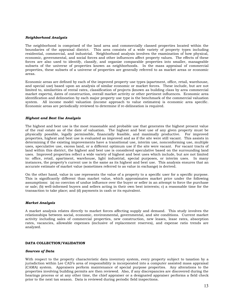#### *Neighborhood Analysis*

The neighborhood is comprised of the land area and commercially classed properties located within the boundaries of the appraisal district. This area consists of a wide variety of property types including residential, commercial, and industrial. Neighborhood analysis involves the examination of how physical, economic, governmental, and social forces and other influences affect property values. The effects of these forces are also used to identify, classify, and organize comparable properties into smaller, manageable subsets of the universe of properties known as neighborhoods. In the mass appraisal of commercial properties, these subsets of a universe of properties are generally referred to as market areas or economic areas.

Economic areas are defined by each of the improved property use types (apartment, office, retail, warehouse, and special use) based upon an analysis of similar economic or market forces. These include, but are not limited to, similarities of rental rates, classification of projects (known as building class by area commercial market experts), dates of construction, overall market activity or other pertinent influences. Economic area identification and delineation by each major property use type is the benchmark of the commercial valuation system. All income model valuation (income approach to value estimates) is economic area specific. Economic areas are periodically reviewed to determine if re-delineation is required.

#### *Highest and Best Use Analysis*

The highest and best use is the most reasonable and probable use that generates the highest present value of the real estate as of the date of valuation. The highest and best use of any given property must be physically possible, legally permissible, financially feasible, and maximally productive. For improved properties, highest and best use is evaluated as improved and as if the site were still vacant. This assists in determining if the existing improvements have a transitional use, interim use, nonconforming use, multiple uses, speculative use, excess land, or a different optimum use if the site were vacant. For vacant tracts of land within this district, the highest and best use is considered speculative based on the surrounding land uses. Improved properties reflect a wide variety of highest and best uses which include, but are not limited to: office, retail, apartment, warehouse, light industrial, special purposes, or interim uses. In many instances, the property's current use is the same as its highest and best use. This analysis ensures that an accurate estimate of market value (sometimes referred to as value in exchange) is derived.

On the other hand, value in use represents the value of a property to a specific user for a specific purpose. This is significantly different than market value, which approximates market price under the following assumptions: (a) no coercion of undue influence over the buyer or seller in an attempt to force the purchase or sale; (b) well-informed buyers and sellers acting in their own best interests; c) a reasonable time for the transaction to take place; and (d) payments in cash or its equivalent.

#### *Market Analysis*

A market analysis relates directly to market forces affecting supply and demand. This study involves the relationships between social, economic, environmental, governmental, and site conditions. Current market activity including sales of commercial properties, new construction, new leases, lease rates, absorption rates, vacancies, allowable expenses (inclusive of replacement reserves), and expense ratio trends are analyzed.

# **DATA COLLECTION/VALIDATION**

#### *Sources of Data*

With respect to the property characteristic data inventory system, every property subject to taxation by a jurisdiction within Lee CAD's area of responsibility is incorporated into a computer assisted mass appraisal (CAMA) system. Appraisers perform maintenance of special purpose properties. Any alterations to the properties involving building permits are then reviewed. Also, if any discrepancies are discovered during the hearings process or at any other time, the chief appraiser or a designated appraiser performs a field check prior to the next tax season. Data is reviewed during periodic field inspections.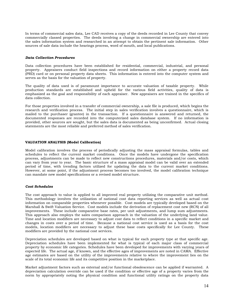In terms of commercial sales data, Lee CAD receives a copy of the deeds recorded in Lee County that convey commercially classed properties. The deeds involving a change in commercial ownership are entered into the sales information system and researched in an attempt to obtain the pertinent sale information. Other sources of sale data include the hearings process, word of mouth, and local publications.

# *Data Collection Procedures*

Data collection procedures have been established for residential, commercial, industrial, and personal property. Appraisers conduct field inspections and record information on either a property record data (PRD) card or on personal property data sheets. This information is entered into the computer system and serves as the basis for the valuation of property.

The quality of data used is of paramount importance to accurate valuation of taxable property. While production standards are established and upheld for the various field activities, quality of data is emphasized as the goal and responsibility of each appraiser. New appraisers are trained in the specifics of data collection.

For those properties involved in a transfer of commercial ownership, a sale file is produced, which begins the research and verification process. The initial step in sales verification involves a questionnaire, which is mailed to the purchaser (grantee) in the transaction. If a questionnaire is answered and returned, the documented responses are recorded into the computerized sales database system. If no information is provided, other sources are sought, but the sales data is documented as being unconfirmed. Actual closing statements are the most reliable and preferred method of sales verification.

# **VALUATION ANALYSIS (Model Calibration)**

Model calibration involves the process of periodically adjusting the mass appraisal formulas, tables and schedules to reflect the current market conditions. Once the models have undergone the specification process, adjustments can be made to reflect new constructions procedures, materials and/or costs, which can vary from year to year. The basic structure of a mass appraisal model can be valid over an extended period of time, with trending factors utilized for updating the data to the current market conditions. However, at some point, if the adjustment process becomes too involved, the model calibration technique can mandate new model specifications or a revised model structure.

# *Cost Schedules*

The cost approach to value is applied to all improved real property utilizing the comparative unit method. This methodology involves the utilization of national cost data reporting services as well as actual cost information on comparable properties whenever possible. Cost models are typically developed based on the Marshall & Swift Valuation Service. Cost models include the derivation of replacement cost new (RCN) of all improvements. These include comparative base rates, per unit adjustments, and lump sum adjustments. This approach also employs the sales comparison approach in the valuation of the underlying land value. Time and location modifiers are necessary to adjust cost data to reflect conditions in a specific market and changes in costs over a period of time. Because a national cost service is used as a basis for the cost models, location modifiers are necessary to adjust these base costs specifically for Lee County. These modifiers are provided by the national cost services.

Depreciation schedules are developed based on what is typical for each property type at that specific age. Depreciation schedules have been implemented for what is typical of each major class of commercial property by economic life categories. Schedules have been developed for improvements with varying years of expected life. The actual age, if known, and the effective ages of improvements are noted in CAMA. Effective age estimates are based on the utility of the improvements relative to where the improvement lies on the scale of its total economic life and its competitive position in the marketplace.

Market adjustment factors such as external and/or functional obsolescence can be applied if warranted. A depreciation calculation override can be used if the condition or effective age of a property varies from the norm by appropriately noting the physical condition and functional utility ratings on the property data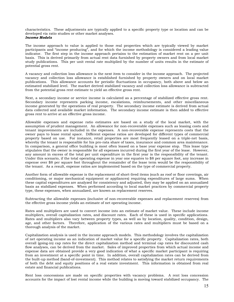characteristics. These adjustments are typically applied to a specific property type or location and can be developed via ratio studies or other market analyses.

# *Income Models*

The income approach to value is applied to those real properties which are typically viewed by market participants and "income producing", and for which the income methodology is considered a leading value indicator. The first step in the income approach pertains to the estimation of market rent on a per unit basis. This is derived primarily from actual rent data furnished by property owners and from local market study publications. This per unit rental rate multiplied by the number of units results in the estimate of potential gross rent.

A vacancy and collection loss allowance is the next item to consider in the income approach. The projected vacancy and collection loss allowance is established furnished by property owners and on local market publications. This allowance accounts for periodic fluctuations in occupancy, both above and below an estimated stabilized level. The market derived stabilized vacancy and collection loss allowance is subtracted from the potential gross rent estimate to yield an effective gross rent.

Next, a secondary income or service income is calculated as a percentage of stabilized effective gross rent. Secondary income represents parking income, escalations, reimbursements, and other miscellaneous income generated by the operations of real property. The secondary income estimate is derived from actual data collected and available market information. The secondary income estimate is then added to effective gross rent to arrive at an effective gross income.

Allowable expenses and expense ratio estimates are based on a study of the local market, with the assumption of prudent management. An allowance for non-recoverable expenses such as leasing costs and tenant improvements are included in the expenses. A non-recoverable expense represents costs that the owner pays to lease rental space. Different expense ratios are developed for different types of commercial property based on use. For instance, retail properties are most frequently leased on a triple-net basis, whereby the tenant is responsible for his pro-rata share of taxes, insurance and common area maintenance. In comparison, a general office building is most often leased on a base year expense stop. This lease type stipulates that the owner is responsible for all expenses incurred during the first year of the lease. However, any amount in excess of the total per unit expenditure in the first year is the responsibility of the tenant. Under this scenario, if the total operating expense in year one equates to \$8 per square foot, any increase in expense over \$8 per square foot throughout the remainder of the lease term would be the responsibility of the tenant. As a result, expense ratios are implemented based on the type of commercial property.

Another form of allowable expense is the replacement of short-lived items (such as roof or floor coverings, air conditioning, or major mechanical equipment or appliances) requiring expenditures of large sums. When these capital expenditures are analyzed for consistency and adjusted, they may be applied on an annualized basis as stabilized expenses. When performed according to local market practices by commercial property type, these expenses, when annualized, are known as replacement reserves.

Subtracting the allowable expenses (inclusive of non-recoverable expenses and replacement reserves) from the effective gross income yields an estimate of net operating income.

Rates and multipliers are used to convert income into an estimate of market value. These include income multipliers, overall capitalization rates, and discount rates. Each of these is used in specific applications. Rates and multipliers also vary between property types, as well as by location, quality, condition, design, age, and other factors. Therefore, application of the various rates and multipliers must be based on a thorough analysis of the market.

Capitalization analysis is used in the income approach models. This methodology involves the capitalization of net operating income as an indication of market value for a specific property. Capitalization rates, both overall (going-in) cap rates for the direct capitalization method and terminal cap rates for discounted cash flow analyses, can be derived from the market. Sales of improved properties from which actual income and expense data are obtained provide a very good indication of what a specific market participant is requiring from an investment at a specific point in time. In addition, overall capitalization rates can be derived from the built-up method (band-of-investment). This method relates to satisfying the market return requirements of both the debt and equity positions of a real estate investment. This information is obtained from real estate and financial publications.

Rent loss concessions are made on specific properties with vacancy problems. A rent loss concession accounts for the impact of lost rental income while the building is moving toward stabilized occupancy. The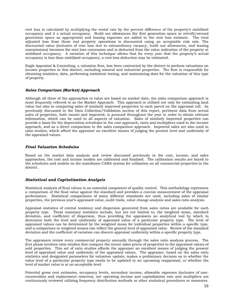rent loss is calculated by multiplying the rental rate by the percent difference of the property's stabilized occupancy and it s actual occupancy. Build out allowances (for first generation space or retrofit/second generation space as appropriate) and leasing expenses are added to the rent loss estimate. The total adjusted loss from these real property operations is discounted using an acceptable risk rate. The discounted value (inclusive of rent loss due to extraordinary vacancy, build out allowances, and leasing commissions) becomes the rent loss concession and is deducted from the value indication of the property at stabilized occupancy. A variation of this technique allows that for every year that the property's actual occupancy is less than stabilized occupancy, a rent loss deduction may be estimated.

Eagle Appraisal & Consulting, a valuation firm, has been contracted by the district to perform valuations on income properties in this district, excluding mineral and industrial properties. The firm is responsible for obtaining statistics, data, performing statistical testing, and maintaining data for the valuation of this type of property.

# *Sales Comparison (Market) Approach*

Although all three of the approaches to value are based on market data, the sales comparison approach is most frequently referred to as the Market Approach. This approach is utilized not only for estimating land value but also in comparing sales of similarly improved properties to each parcel on the appraisal roll. As previously discussed in the Data Collection/Validation section of this report, pertinent data from actual sales of properties, both vacant and improved, is pursued throughout the year in order to obtain relevant information, which can be used in all aspects of valuation. Sales of similarly improved properties can provide a basis for the depreciation schedules in the cost approach, rates and multipliers used in the income approach, and as a direct comparison in the sales comparison approach. Improved sales are also used in ratio studies, which afford the appraiser an excellent means of judging the present level and uniformity of the appraised values.

# *Final Valuation Schedules*

Based on the market data analysis and review discussed previously in the cost, income, and sales approaches, the cost and income models are calibrated and finalized. The calibration results are keyed to the schedules and models on the mainframe CAMA system for utilization on all commercial properties in the district.

# *Statistical and Capitalization Analysis*

Statistical analysis of final values is an essential component of quality control. This methodology represents a comparison of the final value against the standard and provides a concise measurement of the appraisal performance. Statistical comparisons of many different standards are used, including sales of similar properties, the previous year's appraised value, audit trails, value change analysis and sales ratio analysis.

Appraisal statistics of central tendency and dispersion generated from sales ratios are available for each property type. These summary statistics include, but are not limited to, the weighted mean, standard deviation, and coefficient of dispersion, thus providing the appraisers an analytical tool by which to determine both the level and uniformity of appraised value of a particular property type. The level of appraised values can be determined by the weighted mean for individual properties within a specific type, and a comparison or weighted means can reflect the general level of appraised value. Review of the standard deviation and the coefficient of variation can discern appraisal uniformity within a specific property type.

The appraisers review every commercial property annually through the sales ratio analysis process. The first phase involves ratio studies that compare the recent sales prices of properties to the appraised values of sold properties. This set of ratio studies affords the appraiser an excellent means of judging the present level of appraised value and uniformity of the appraised values. The appraiser, based on the sales ratio statistics and designated parameters for valuation update, makes a preliminary decision as to whether the value level of a particular property type needs to be updated in an upcoming reappraisal, or whether the level of market value is at an acceptable level.

Potential gross rent estimates, occupancy levels, secondary income, allowable expenses (inclusive of nonrecoverables and replacement reserves), net operating income and capitalization rate and multipliers are continuously reviewed utilizing frequency distribution methods or other statistical procedures or measures.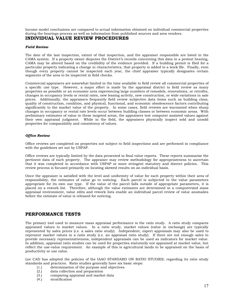Income model conclusions are compared to actual information obtained on individual commercial properties during the hearings process as well as information from published sources and area vendors.

# **INDIVIDUAL VALUE REVIEW PROCEDURES**

# *Field Review*

The date of the last inspection, extent of that inspection, and the appraiser responsible are listed in the CAMA system. If a property owner disputes the District's records concerning this data in a protest hearing, CAMA may be altered based on the credibility of the evidence provided. If a building permit is filed for a particular property indicating a change in characteristics, that property is added to a work file. Finally, even though every property cannot be inspected each year, the chief appraiser typically designates certain segments of the area to be inspected in field checks.

Commercial appraisers are somewhat limited in the time available to field review all commercial properties of a specific use type. However, a major effort is made by the appraisal district to field review as many properties as possible or an economic area experiencing large numbers of remodels, renovations, or retrofits, changes in occupancy levels or rental rates, new leasing activity, new construction, or wide variations in sale prices. Additionally, the appraisers frequently field review subjective data items such as building class, quality of construction, condition, and physical, functional, and economic obsolescence factors contributing significantly to the market value of the property. In some cases, field reviews are warranted when sharp changes in occupancy or rental rate levels occur between building classes or between economic areas. With preliminary estimates of value in these targeted areas, the appraisers test computer assisted values against their own appraisal judgment. While in the field, the appraisers physically inspect sold and unsold properties for comparability and consistency of values.

# *Office Review*

Office reviews are completed on properties not subject to field inspections and are performed in compliance with the guidelines set out by USPAP.

Office reviews are typically limited by the data presented in final value reports. These reports summarize the pertinent data of each property. The appraiser may review methodology for appropriateness to ascertain that it was completed in accordance with USPAP or more stringent statutory and district policies. This review process is focused primarily on locating skewed results on an individual basis.

Once the appraiser is satisfied with the level and uniformity of value for each property within their area of responsibility, the estimates of value go to noticing. Each parcel is subjected to the value parameters appropriate for its own use type. If the value of the parcel falls outside of appropriate parameters, it is placed on a rework list. Therefore, although the value estimates are determined in a computerized mass appraisal environment, value edits and rework lists enable an individual parcel review of value anomalies before the estimate of value is released for noticing.

# **PERFORMANCE TESTS**

The primary tool used to measure mass appraisal performance is the ratio study. A ratio study compares appraised values to market values. In a ratio study, market values (value in exchange) are typically represented by sales prices (i.e. a sales ratio study). Independent, expert appraisals may also be used to represent market values in a ratio study (i.e. an appraisal ratio study). If there are not enough sales to provide necessary representativeness, independent appraisals can be used as indicators for market value. In addition, appraisal ratio studies can be used for properties statutorily not appraised at market value, but reflect the use-value requirement. An example of this is agricultural lands to be appraised on the basis of productivity or use value.

Lee CAD has adopted the policies of the IAAO STANDARD ON RATIO STUDIES, regarding its ratio study standards and practices. Ratio studies generally have six basic steps:

- (1.) determination of the purpose and objectives
- (2.) data collection and preparation
- (3.) comparing appraisal and market data
- (4.) stratification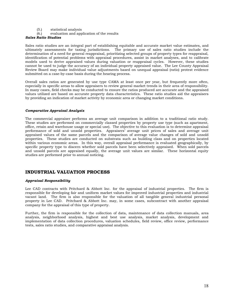- (5.) statistical analysis
- evaluation and application of the results

# *Sales Ratio Studies*

Sales ratio studies are an integral part of establishing equitable and accurate market value estimates, and ultimately assessments for taxing jurisdictions. The primary use of sales ratio studies include the determination of a need for general reappraisal, prioritizing selected groups of property types for reappraisal, identification of potential problems with appraisal procedures, assist in market analyses, and to calibrate models used to derive appraised values during valuation or reappraisal cycles. However, these studies cannot be used to judge the accuracy of an individual property appraised value. The Lee County Appraisal Review Board may make individual value adjustments based on unequal appraisal (ratio) protest evidence submitted on a case-by-case basis during the hearing process.

Overall sales ratios are generated by use type CAMA at least once per year, but frequently more often, especially in specific areas to allow appraisers to review general market trends in their area of responsibility. In many cases, field checks may be conducted to ensure the ratios produced are accurate and the appraised values utilized are based on accurate property data characteristics. These ratio studies aid the appraisers by providing an indication of market activity by economic area or changing market conditions.

# *Comparative Appraisal Analysis*

The commercial appraiser performs an average unit comparison in addition to a traditional ratio study. These studies are performed on commercially classed properties by property use type (such as apartment, office, retain and warehouse usage or special use). The objective to this evaluation is to determine appraisal performance of sold and unsold properties. Appraisers' average unit prices of sales and average unit appraised values of the same parcels and the comparison of average value changes of sold and unsold properties. These studies are conducted on substrata such as building class and on properties located within various economic areas. In this way, overall appraisal performance is evaluated geographically, by specific property type to discern whether sold parcels have been selectively appraised. When sold parcels and unsold parcels are appraised equally, the average unit values are similar. These horizontal equity studies are performed prior to annual noticing.

# **INDUSTRIAL VALUATION PROCESS**

# *Appraisal Responsibility*

Lee CAD contracts with Pritchard & Abbott Inc. for the appraisal of industrial properties. The firm is responsible for developing fair and uniform market values for improved industrial properties and industrial vacant land. The firm is also responsible for the valuation of all tangible general industrial personal property in Lee CAD. Pritchard & Abbott Inc. may, in some cases, subcontract with another appraisal company for the appraisal of this type of property.

Further, the firm is responsible for the collection of data, maintenance of data collection manuals, area analysis, neighborhood analysis, highest and best use analysis, market analysis, development and implementation of data collection procedures, valuation schedules, field review, office review, performance tests, sales ratio studies, and comparative appraisal analysis.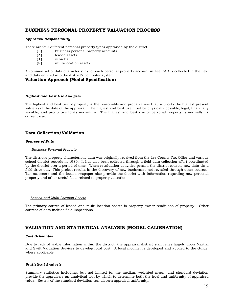# **BUSINESS PERSONAL PROPERTY VALUATION PROCESS**

# *Appraisal Responsibility*

There are four different personal property types appraised by the district:

- (1.) business personal property accounts
- (2.) leased assets
- (3.) vehicles
- (4.) multi-location assets

A common set of data characteristics for each personal property account in Lee CAD is collected in the field and data entered into the district's computer system.

# **Valuation Approach (Model Specification)**

#### *Highest and Best Use Analysis*

The highest and best use of property is the reasonable and probable use that supports the highest present value as of the date of the appraisal. The highest and best use must be physically possible, legal, financially feasible, and productive to its maximum. The highest and best use of personal property is normally its current use.

# **Data Collection/Validation**

#### *Sources of Data*

#### *Business Personal Property*

The district's property characteristic data was originally received from the Lee County Tax Office and various school district records in 1980. It has also been collected through a field data collection effort coordinated by the district over a period of time. When revaluation activities permit, the district collects new data via a field drive-out. This project results in the discovery of new businesses not revealed through other sources. Tax assessors and the local newspaper also provide the district with information regarding new personal property and other useful facts related to property valuation.

#### *Leased and Multi-Location Assets*

The primary source of leased and multi-location assets is property owner renditions of property. Other sources of data include field inspections.

# **VALUATION AND STATISTICAL ANALYSIS (MODEL CALIBRATION)**

# *Cost Schedules*

Due to lack of viable information within the district, the appraisal district staff relies largely upon Martial and Swift Valuation Services to develop local cost. A local modifier is developed and applied to the Guide, where applicable.

#### *Statistical Analysis*

Summary statistics including, but not limited to, the median, weighted mean, and standard deviation provide the appraisers an analytical tool by which to determine both the level and uniformity of appraised value. Review of the standard deviation can discern appraisal uniformity.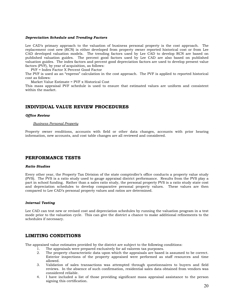#### *Depreciation Schedule and Trending Factors*

Lee CAD's primary approach to the valuation of business personal property is the cost approach. The replacement cost new (RCN) is either developed from property owner reported historical cost or from Lee CAD developed valuation models. The trending factors used by Lee CAD to develop RCN are based on published valuation guides. The percent good factors used by Lee CAD are also based on published valuation guides. The index factors and percent good depreciation factors are used to develop present value factors (PVF), by year of acquisition, as follows:

PVF = Index Factor X Percent Good Factor

The PVF is used as an "express" calculation in the cost approach. The PVF is applied to reported historical cost as follows:

Market Value Estimate = PVF x Historical Cost

This mass appraisal PVF schedule is used to ensure that estimated values are uniform and consistent within the market.

# **INDIVIDUAL VALUE REVIEW PROCEDURES**

#### *Office Review*

#### *Business Personal Property*

Property owner renditions, accounts with field or other data changes, accounts with prior hearing information, new accounts, and cost table changes are all reviewed and considered.

# **PERFORMANCE TESTS**

#### *Ratio Studies*

Every other year, the Property Tax Division of the state comptroller's office conducts a property value study (PVS). The PVS is a ratio study used to gauge appraisal district performance. Results from the PVS play a part in school funding. Rather than a sales ratio study, the personal property PVS is a ratio study state cost and depreciation schedules to develop comparative personal property values. These values are then compared to Lee CAD's personal property values and ratios are determined.

# *Internal Testing*

Lee CAD can test new or revised cost and depreciation schedules by running the valuation program in a test mode prior to the valuation cycle. This can give the district a chance to make additional refinements to the schedules if necessary.

# **LIMITING CONDITIONS**

The appraised value estimates provided by the district are subject to the following conditions:

- 1. The appraisals were prepared exclusively for ad valorem tax purposes.
- 2. The property characteristic data upon which the appraisals are based is assumed to be correct. Exterior inspections of the property appraised were performed as staff resources and time allowed.
- 3. Validation of sales transactions was attempted through questionnaires to buyers and field reviews. In the absence of such confirmation, residential sales data obtained from vendors was considered reliable.
- 4. I have included a list of those providing significant mass appraisal assistance to the person signing this certification.